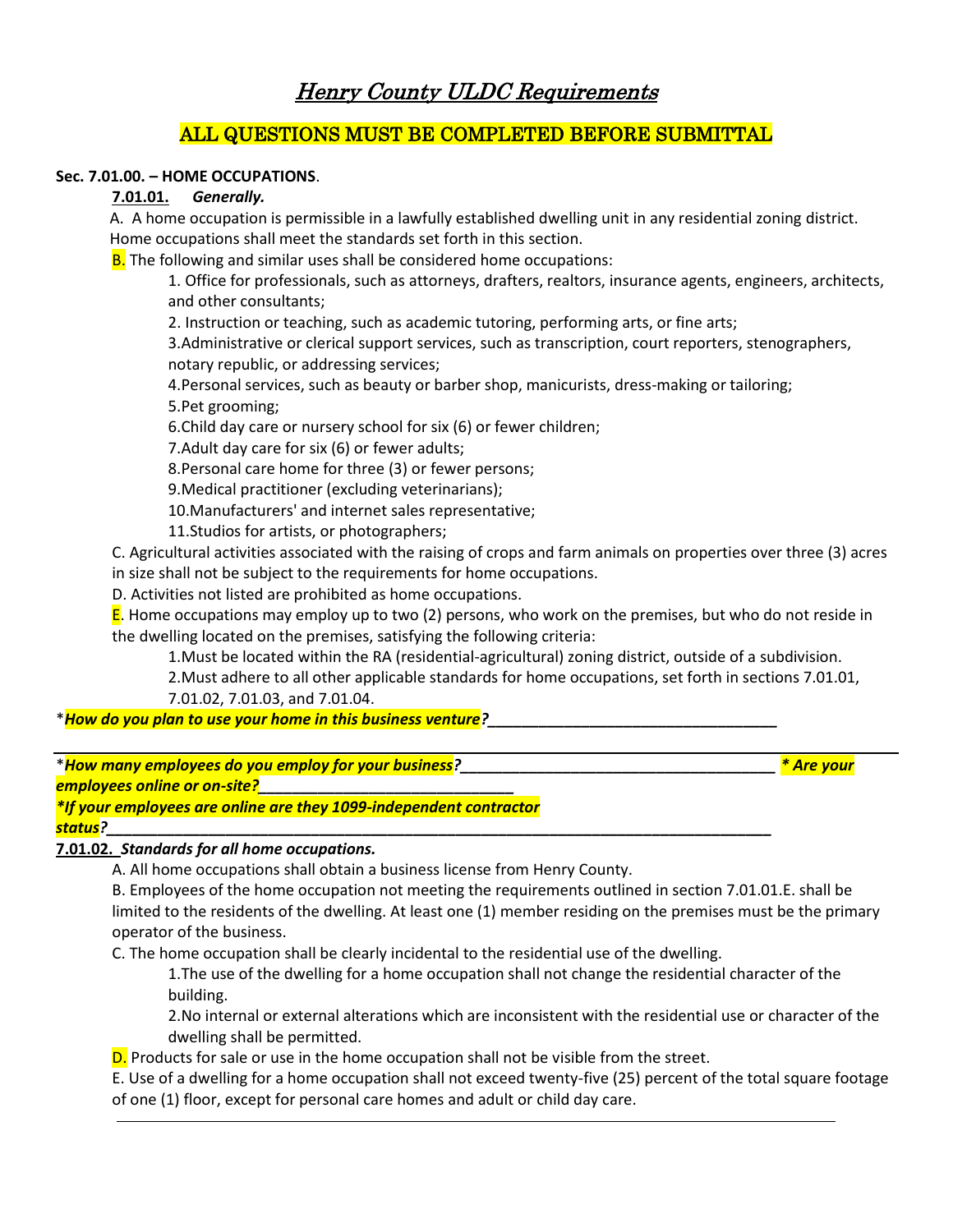# Henry County ULDC Requirements

# ALL QUESTIONS MUST BE COMPLETED BEFORE SUBMITTAL

## **Sec. 7.01.00. – HOME OCCUPATIONS**.

#### **7.01.01.** *Generally.*

A. A home occupation is permissible in a lawfully established dwelling unit in any residential zoning district. Home occupations shall meet the standards set forth in this section.

**B.** The following and similar uses shall be considered home occupations:

1. Office for professionals, such as attorneys, drafters, realtors, insurance agents, engineers, architects, and other consultants;

2. Instruction or teaching, such as academic tutoring, performing arts, or fine arts;

3.Administrative or clerical support services, such as transcription, court reporters, stenographers, notary republic, or addressing services;

4.Personal services, such as beauty or barber shop, manicurists, dress-making or tailoring;

5.Pet grooming;

6.Child day care or nursery school for six (6) or fewer children;

7.Adult day care for six (6) or fewer adults;

8.Personal care home for three (3) or fewer persons;

9.Medical practitioner (excluding veterinarians);

10.Manufacturers' and internet sales representative;

11.Studios for artists, or photographers;

C. Agricultural activities associated with the raising of crops and farm animals on properties over three (3) acres in size shall not be subject to the requirements for home occupations.

D. Activities not listed are prohibited as home occupations.

**E**. Home occupations may employ up to two (2) persons, who work on the premises, but who do not reside in the dwelling located on the premises, satisfying the following criteria:

1.Must be located within the RA (residential-agricultural) zoning district, outside of a subdivision.

2.Must adhere to all other applicable standards for home occupations, set forth in sections 7.01.01, 7.01.02, 7.01.03, and 7.01.04.

\**How do you plan to use your home in this business venture?\_\_\_\_\_\_\_\_\_\_\_\_\_\_\_\_\_\_\_\_\_\_\_\_\_\_\_\_\_\_\_\_\_\_*

\**How many employees do you employ for your business?\_\_\_\_\_\_\_\_\_\_\_\_\_\_\_\_\_\_\_\_\_\_\_\_\_\_\_\_\_\_\_\_\_\_\_\_\_ \* Are your* 

*employees online or on-site?\_\_\_\_\_\_\_\_\_\_\_\_\_\_\_\_\_\_\_\_\_\_\_\_\_\_\_\_\_\_*

*\*If your employees are online are they 1099-independent contractor* 

*status?\_\_\_\_\_\_\_\_\_\_\_\_\_\_\_\_\_\_\_\_\_\_\_\_\_\_\_\_\_\_\_\_\_\_\_\_\_\_\_\_\_\_\_\_\_\_\_\_\_\_\_\_\_\_\_\_\_\_\_\_\_\_\_\_\_\_\_\_\_\_\_\_\_\_\_\_\_\_*

## **7.01.02.** *Standards for all home occupations.*

A. All home occupations shall obtain a business license from Henry County.

B. Employees of the home occupation not meeting the requirements outlined in section 7.01.01.E. shall be limited to the residents of the dwelling. At least one (1) member residing on the premises must be the primary operator of the business.

C. The home occupation shall be clearly incidental to the residential use of the dwelling.

1.The use of the dwelling for a home occupation shall not change the residential character of the building.

2.No internal or external alterations which are inconsistent with the residential use or character of the dwelling shall be permitted.

D. Products for sale or use in the home occupation shall not be visible from the street.

E. Use of a dwelling for a home occupation shall not exceed twenty-five (25) percent of the total square footage of one (1) floor, except for personal care homes and adult or child day care.